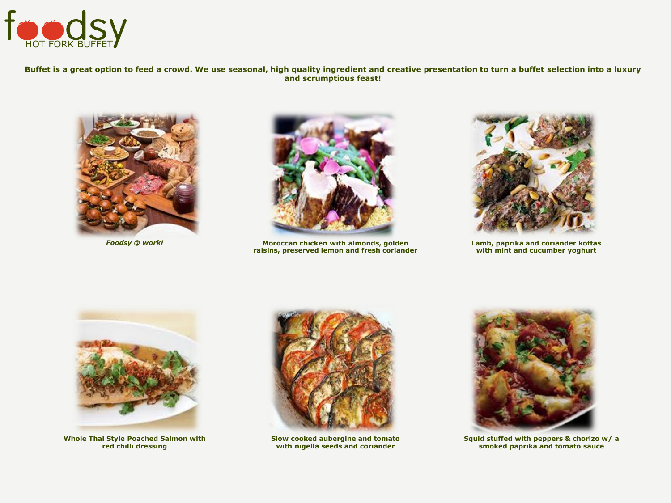

## **Buffet is a great option to feed a crowd. We use seasonal, high quality ingredient and creative presentation to turn a buffet selection into a luxury and scrumptious feast!**





*Foodsy @ work!* **Moroccan chicken with almonds, golden raisins, preserved lemon and fresh coriander**



**Lamb, paprika and coriander koftas with mint and cucumber yoghurt**



**Whole Thai Style Poached Salmon with red chilli dressing**



**Slow cooked aubergine and tomato with nigella seeds and coriander**



**Squid stuffed with peppers & chorizo w/ a smoked paprika and tomato sauce**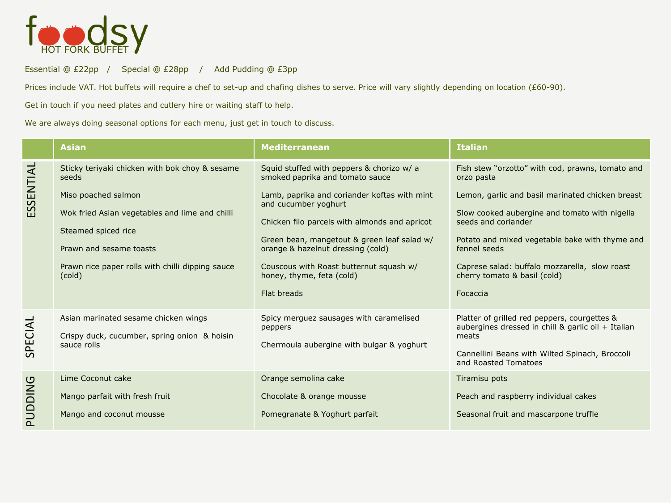

Essential @ £22pp / Special @ £28pp / Add Pudding @ £3pp

Prices include VAT. Hot buffets will require a chef to set-up and chafing dishes to serve. Price will vary slightly depending on location (£60-90).

Get in touch if you need plates and cutlery hire or waiting staff to help.

We are always doing seasonal options for each menu, just get in touch to discuss.

|           | <b>Asian</b>                                                                                                                                                                          | <b>Mediterranean</b>                                                                                                                                                                                                                                                                             | <b>Italian</b>                                                                                                                                                                                                                                                                          |
|-----------|---------------------------------------------------------------------------------------------------------------------------------------------------------------------------------------|--------------------------------------------------------------------------------------------------------------------------------------------------------------------------------------------------------------------------------------------------------------------------------------------------|-----------------------------------------------------------------------------------------------------------------------------------------------------------------------------------------------------------------------------------------------------------------------------------------|
|           | Sticky teriyaki chicken with bok choy & sesame<br>seeds                                                                                                                               | Squid stuffed with peppers & chorizo w/ a<br>smoked paprika and tomato sauce                                                                                                                                                                                                                     | Fish stew "orzotto" with cod, prawns, tomato and<br>orzo pasta                                                                                                                                                                                                                          |
| ESSENTIAL | Miso poached salmon<br>Wok fried Asian vegetables and lime and chilli<br>Steamed spiced rice<br>Prawn and sesame toasts<br>Prawn rice paper rolls with chilli dipping sauce<br>(cold) | Lamb, paprika and coriander koftas with mint<br>and cucumber yoghurt<br>Chicken filo parcels with almonds and apricot<br>Green bean, mangetout & green leaf salad w/<br>orange & hazelnut dressing (cold)<br>Couscous with Roast butternut squash w/<br>honey, thyme, feta (cold)<br>Flat breads | Lemon, garlic and basil marinated chicken breast<br>Slow cooked aubergine and tomato with nigella<br>seeds and coriander<br>Potato and mixed vegetable bake with thyme and<br>fennel seeds<br>Caprese salad: buffalo mozzarella, slow roast<br>cherry tomato & basil (cold)<br>Focaccia |
| SPECIAL   | Asian marinated sesame chicken wings<br>Crispy duck, cucumber, spring onion & hoisin<br>sauce rolls                                                                                   | Spicy merguez sausages with caramelised<br>peppers<br>Chermoula aubergine with bulgar & yoghurt                                                                                                                                                                                                  | Platter of grilled red peppers, courgettes &<br>aubergines dressed in chill & garlic oil + Italian<br>meats<br>Cannellini Beans with Wilted Spinach, Broccoli<br>and Roasted Tomatoes                                                                                                   |
| PUDDING   | Lime Coconut cake<br>Mango parfait with fresh fruit<br>Mango and coconut mousse                                                                                                       | Orange semolina cake<br>Chocolate & orange mousse<br>Pomegranate & Yoghurt parfait                                                                                                                                                                                                               | Tiramisu pots<br>Peach and raspberry individual cakes<br>Seasonal fruit and mascarpone truffle                                                                                                                                                                                          |